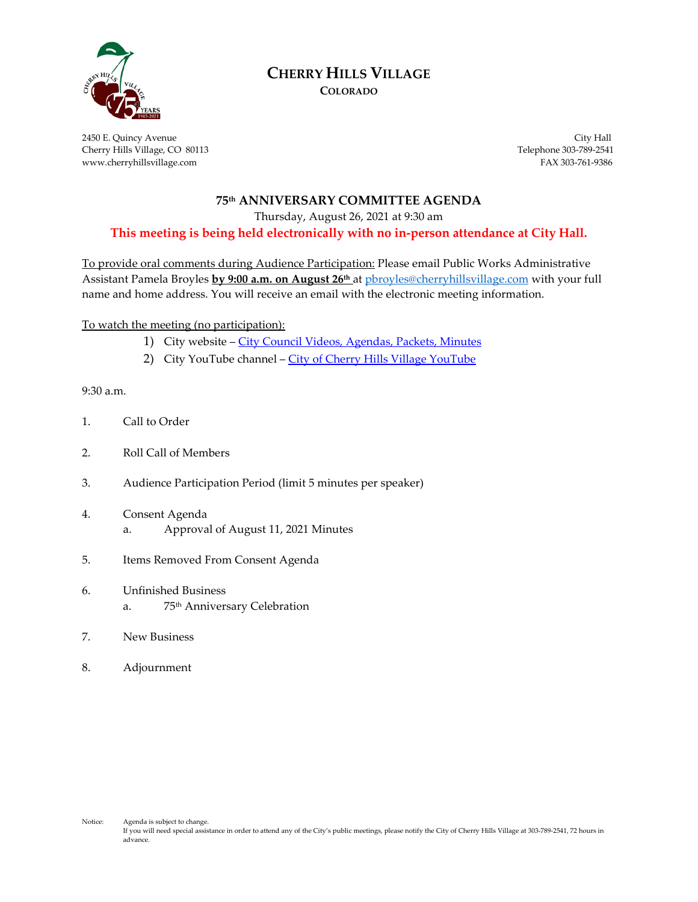

# **CHERRY HILLS VILLAGE**

**COLORADO**

2450 E. Quincy Avenue City Hall Cherry Hills Village, CO 80113 Telephone 303-789-2541 www.cherryhillsvillage.com FAX 303-761-9386

### **75th ANNIVERSARY COMMITTEE AGENDA**

Thursday, August 26, 2021 at 9:30 am

**This meeting is being held electronically with no in-person attendance at City Hall.**

To provide oral comments during Audience Participation: Please email Public Works Administrative Assistant Pamela Broyles **by 9:00 a.m. on August 26th** at [pbroyles@cherryhillsvillage.com](mailto:pbroyles@cherryhillsvillage.com) with your full name and home address. You will receive an email with the electronic meeting information.

To watch the meeting (no participation):

- 1) City website [City Council Videos, Agendas, Packets, Minutes](http://www.cherryhillsvillage.com/501/Council-Videos-Agendas-Packets-Minutes)
- 2) City YouTube channel [City of Cherry Hills Village YouTube](https://www.youtube.com/channel/UCHY4MgJ1gekrqDW949gW7Gw)

9:30 a.m.

- 1. Call to Order
- 2. Roll Call of Members
- 3. Audience Participation Period (limit 5 minutes per speaker)
- 4. Consent Agenda a. Approval of August 11, 2021 Minutes
- 5. Items Removed From Consent Agenda
- 6. Unfinished Business a. 75th Anniversary Celebration
- 7. New Business
- 8. Adjournment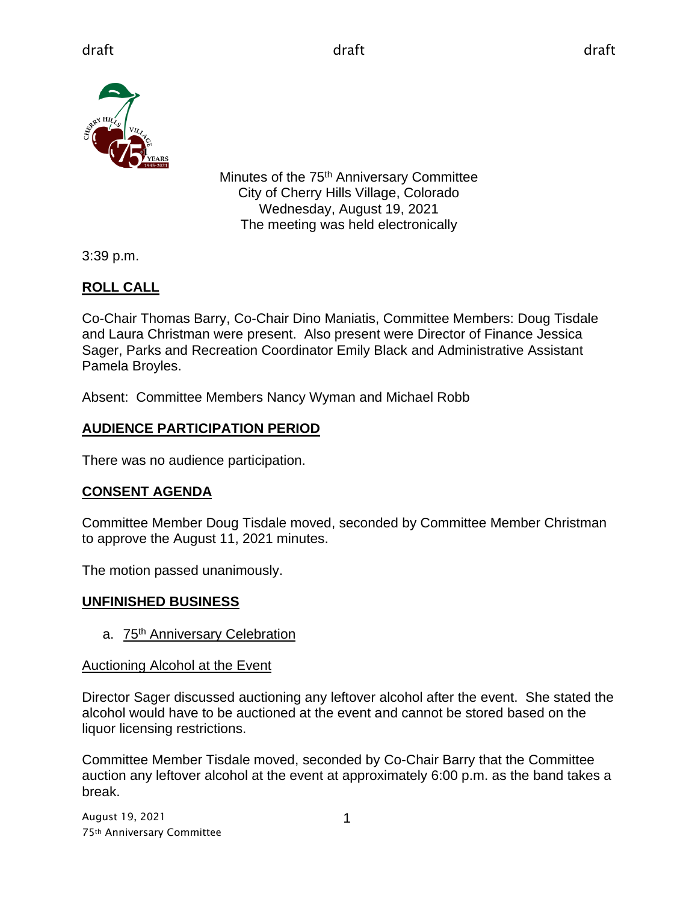

Minutes of the 75<sup>th</sup> Anniversary Committee City of Cherry Hills Village, Colorado Wednesday, August 19, 2021 The meeting was held electronically

3:39 p.m.

## **ROLL CALL**

Co-Chair Thomas Barry, Co-Chair Dino Maniatis, Committee Members: Doug Tisdale and Laura Christman were present. Also present were Director of Finance Jessica Sager, Parks and Recreation Coordinator Emily Black and Administrative Assistant Pamela Broyles.

Absent: Committee Members Nancy Wyman and Michael Robb

## **AUDIENCE PARTICIPATION PERIOD**

There was no audience participation.

# **CONSENT AGENDA**

Committee Member Doug Tisdale moved, seconded by Committee Member Christman to approve the August 11, 2021 minutes.

The motion passed unanimously.

## **UNFINISHED BUSINESS**

a. 75<sup>th</sup> Anniversary Celebration

## Auctioning Alcohol at the Event

Director Sager discussed auctioning any leftover alcohol after the event. She stated the alcohol would have to be auctioned at the event and cannot be stored based on the liquor licensing restrictions.

Committee Member Tisdale moved, seconded by Co-Chair Barry that the Committee auction any leftover alcohol at the event at approximately 6:00 p.m. as the band takes a break.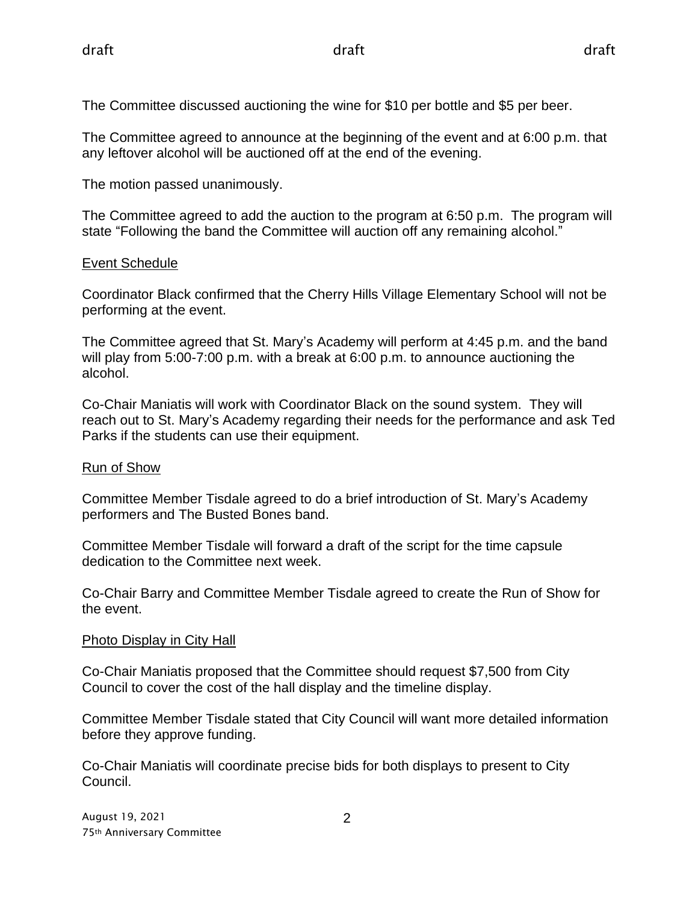The Committee discussed auctioning the wine for \$10 per bottle and \$5 per beer.

The Committee agreed to announce at the beginning of the event and at 6:00 p.m. that any leftover alcohol will be auctioned off at the end of the evening.

The motion passed unanimously.

The Committee agreed to add the auction to the program at 6:50 p.m. The program will state "Following the band the Committee will auction off any remaining alcohol."

## Event Schedule

Coordinator Black confirmed that the Cherry Hills Village Elementary School will not be performing at the event.

The Committee agreed that St. Mary's Academy will perform at 4:45 p.m. and the band will play from 5:00-7:00 p.m. with a break at 6:00 p.m. to announce auctioning the alcohol.

Co-Chair Maniatis will work with Coordinator Black on the sound system. They will reach out to St. Mary's Academy regarding their needs for the performance and ask Ted Parks if the students can use their equipment.

### Run of Show

Committee Member Tisdale agreed to do a brief introduction of St. Mary's Academy performers and The Busted Bones band.

Committee Member Tisdale will forward a draft of the script for the time capsule dedication to the Committee next week.

Co-Chair Barry and Committee Member Tisdale agreed to create the Run of Show for the event.

### Photo Display in City Hall

Co-Chair Maniatis proposed that the Committee should request \$7,500 from City Council to cover the cost of the hall display and the timeline display.

Committee Member Tisdale stated that City Council will want more detailed information before they approve funding.

Co-Chair Maniatis will coordinate precise bids for both displays to present to City Council.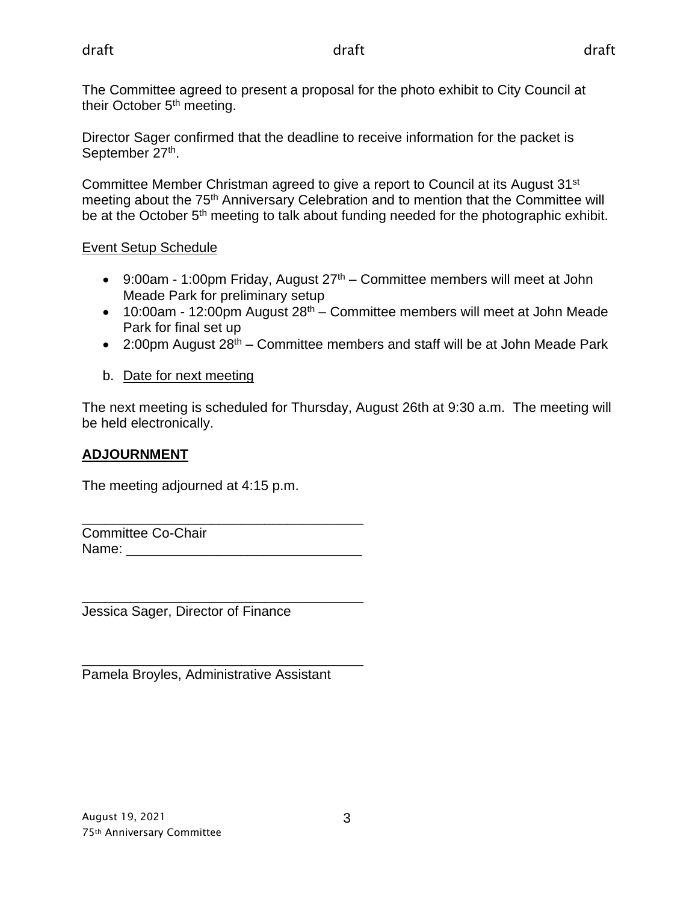The Committee agreed to present a proposal for the photo exhibit to City Council at their October 5<sup>th</sup> meeting.

Director Sager confirmed that the deadline to receive information for the packet is September 27<sup>th</sup>.

Committee Member Christman agreed to give a report to Council at its August 31st meeting about the 75<sup>th</sup> Anniversary Celebration and to mention that the Committee will be at the October 5<sup>th</sup> meeting to talk about funding needed for the photographic exhibit.

## Event Setup Schedule

- 9:00am 1:00pm Friday, August  $27<sup>th</sup>$  Committee members will meet at John Meade Park for preliminary setup
- $\bullet$  10:00am 12:00pm August 28<sup>th</sup> Committee members will meet at John Meade Park for final set up
- 2:00pm August 28<sup>th</sup> Committee members and staff will be at John Meade Park

## b. Date for next meeting

The next meeting is scheduled for Thursday, August 26th at 9:30 a.m. The meeting will be held electronically.

## **ADJOURNMENT**

The meeting adjourned at 4:15 p.m.

\_\_\_\_\_\_\_\_\_\_\_\_\_\_\_\_\_\_\_\_\_\_\_\_\_\_\_\_\_\_\_\_\_\_\_\_\_ Committee Co-Chair Name:

\_\_\_\_\_\_\_\_\_\_\_\_\_\_\_\_\_\_\_\_\_\_\_\_\_\_\_\_\_\_\_\_\_\_\_\_\_ Jessica Sager, Director of Finance

\_\_\_\_\_\_\_\_\_\_\_\_\_\_\_\_\_\_\_\_\_\_\_\_\_\_\_\_\_\_\_\_\_\_\_\_\_ Pamela Broyles, Administrative Assistant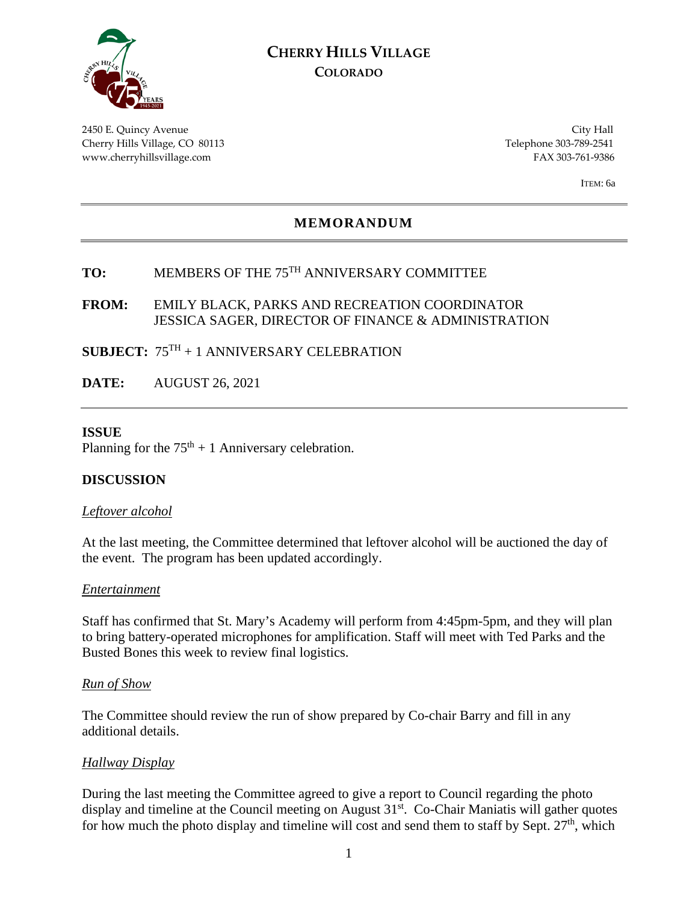

## **CHERRY HILLS VILLAGE COLORADO**

2450 E. Quincy Avenue City Hall Cherry Hills Village, CO 80113 Telephone 303-789-2541 www.cherryhillsvillage.com FAX 303-761-9386

ITEM: 6a

### **MEMORANDUM**

# **TO:** MEMBERS OF THE 75TH ANNIVERSARY COMMITTEE

### **FROM:** EMILY BLACK, PARKS AND RECREATION COORDINATOR JESSICA SAGER, DIRECTOR OF FINANCE & ADMINISTRATION

### **SUBJECT:** 75TH + 1 ANNIVERSARY CELEBRATION

**DATE:** AUGUST 26, 2021

### **ISSUE**

Planning for the  $75<sup>th</sup> + 1$  Anniversary celebration.

### **DISCUSSION**

#### *Leftover alcohol*

At the last meeting, the Committee determined that leftover alcohol will be auctioned the day of the event. The program has been updated accordingly.

#### *Entertainment*

Staff has confirmed that St. Mary's Academy will perform from 4:45pm-5pm, and they will plan to bring battery-operated microphones for amplification. Staff will meet with Ted Parks and the Busted Bones this week to review final logistics.

#### *Run of Show*

The Committee should review the run of show prepared by Co-chair Barry and fill in any additional details.

#### *Hallway Display*

During the last meeting the Committee agreed to give a report to Council regarding the photo display and timeline at the Council meeting on August 31<sup>st</sup>. Co-Chair Maniatis will gather quotes for how much the photo display and timeline will cost and send them to staff by Sept.  $27<sup>th</sup>$ , which